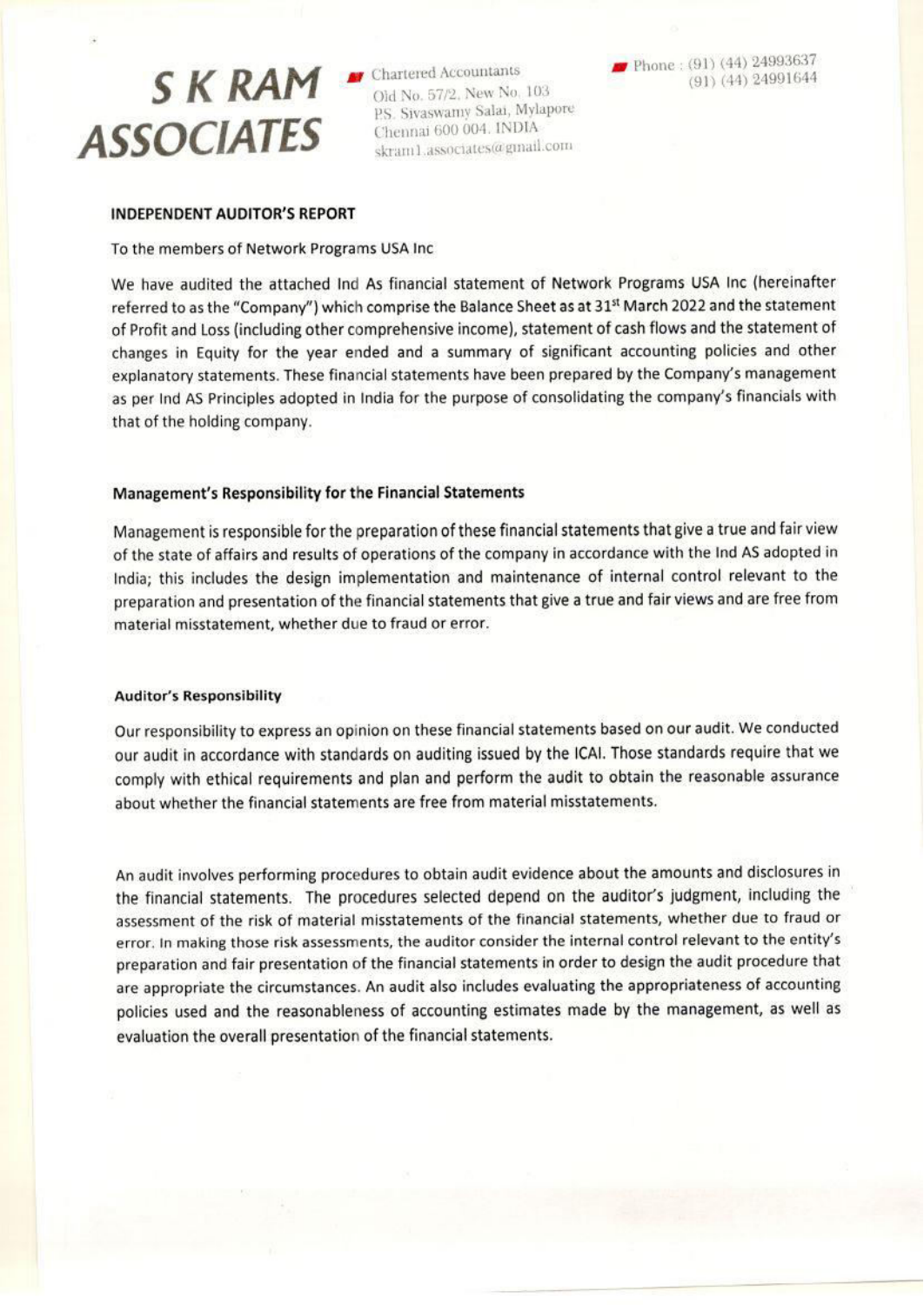# SKRAM SChartered Accountants **ASSOCIATES**

Old No. 57/2, New No. 103 P.S. Sivaswamy Salai, Mylapore Chennai 600 004. INDIA skram1.associates@gmail.com

Phone: (91) (44) 24993637  $(91)$   $(44)$  24991644

#### **INDEPENDENT AUDITOR'S REPORT**

#### To the members of Network Programs USA Inc

We have audited the attached Ind As financial statement of Network Programs USA Inc (hereinafter referred to as the "Company") which comprise the Balance Sheet as at 31st March 2022 and the statement of Profit and Loss (including other comprehensive income), statement of cash flows and the statement of changes in Equity for the year ended and a summary of significant accounting policies and other explanatory statements. These financial statements have been prepared by the Company's management as per Ind AS Principles adopted in India for the purpose of consolidating the company's financials with that of the holding company.

## Management's Responsibility for the Financial Statements

Management is responsible for the preparation of these financial statements that give a true and fair view of the state of affairs and results of operations of the company in accordance with the Ind AS adopted in India; this includes the design implementation and maintenance of internal control relevant to the preparation and presentation of the financial statements that give a true and fair views and are free from material misstatement, whether due to fraud or error.

#### **Auditor's Responsibility**

Our responsibility to express an opinion on these financial statements based on our audit. We conducted our audit in accordance with standards on auditing issued by the ICAI. Those standards require that we comply with ethical requirements and plan and perform the audit to obtain the reasonable assurance about whether the financial statements are free from material misstatements.

An audit involves performing procedures to obtain audit evidence about the amounts and disclosures in the financial statements. The procedures selected depend on the auditor's judgment, including the assessment of the risk of material misstatements of the financial statements, whether due to fraud or error. In making those risk assessments, the auditor consider the internal control relevant to the entity's preparation and fair presentation of the financial statements in order to design the audit procedure that are appropriate the circumstances. An audit also includes evaluating the appropriateness of accounting policies used and the reasonableness of accounting estimates made by the management, as well as evaluation the overall presentation of the financial statements.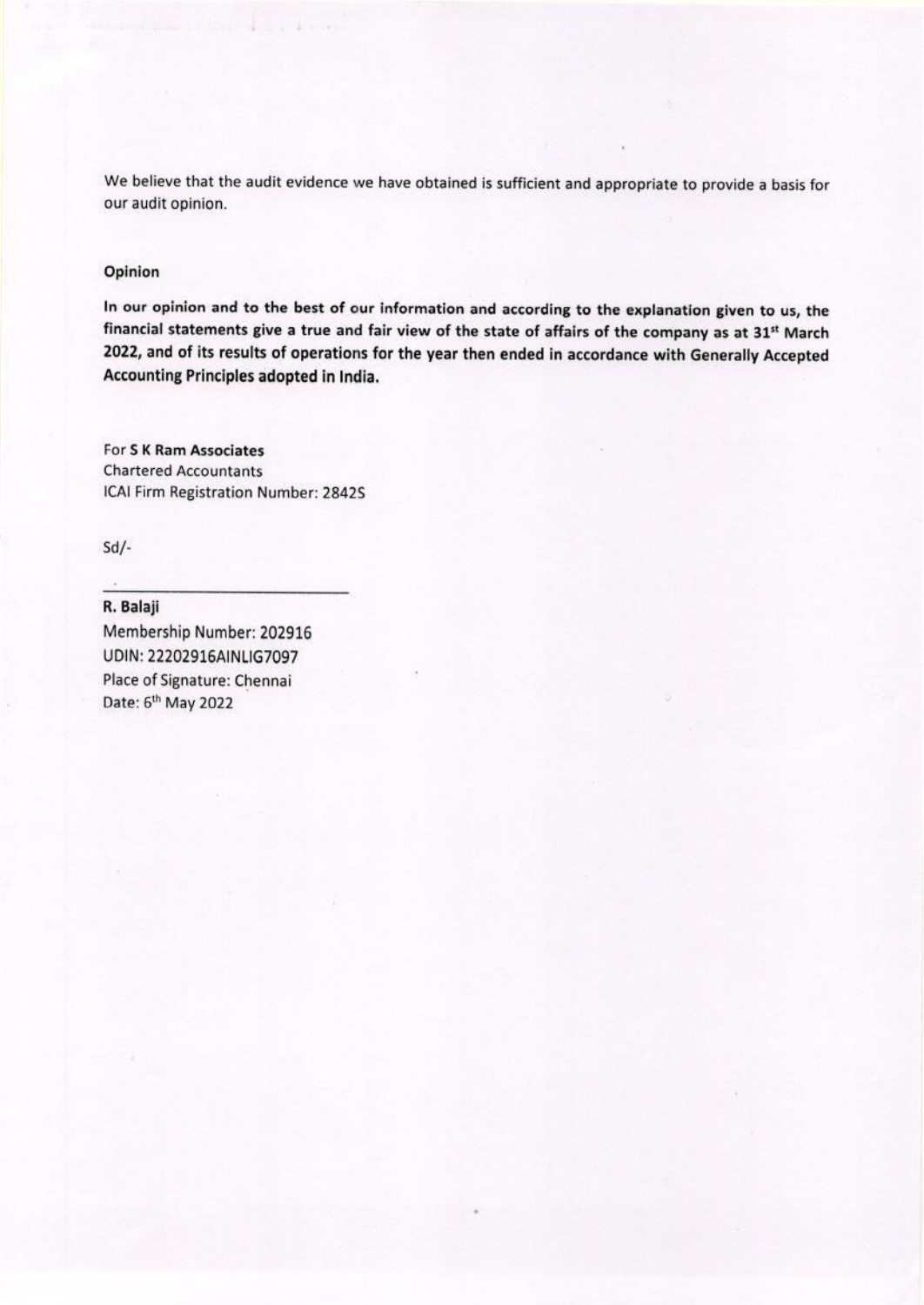We believe that the audit evidence we have obtained is sufficient and appropriate to provide a basis for our audit opinion.

## Opinion

In our opinion and to the best of our information and according to the explanation given to us, the financial statements give a true and fair view of the state of affairs of the company as at 31st March 2022, and of its results of operations for the year then ended in accordance with Generally Accepted Accounting Principles adopted in India.

For S K Ram Associates **Chartered Accountants** ICAI Firm Registration Number: 2842S

 $Sd$ /-

R. Balaji Membership Number: 202916 UDIN: 22202916AINLIG7097 Place of Signature: Chennai Date: 6<sup>th</sup> May 2022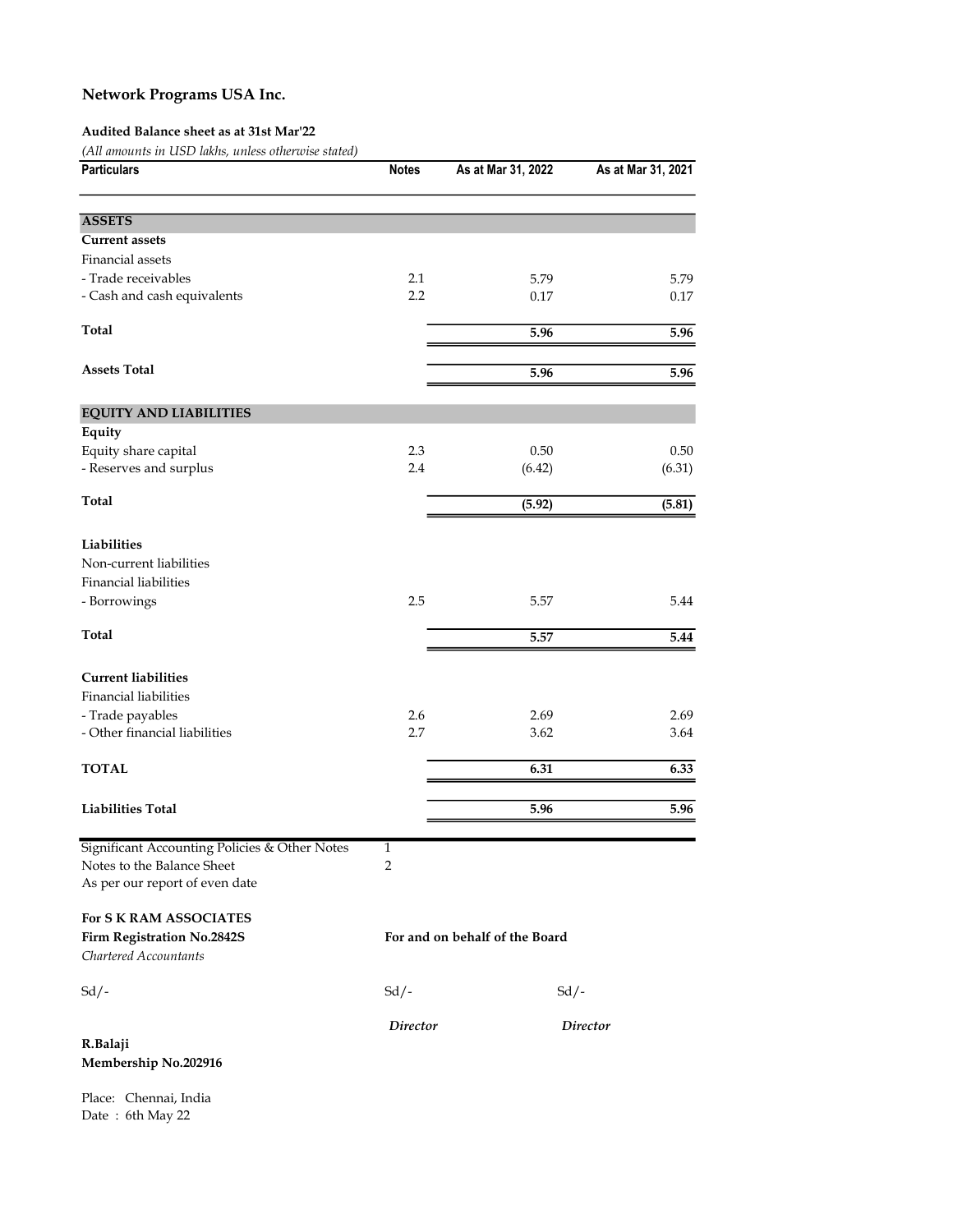### Audited Balance sheet as at 31st Mar'22

(All amounts in USD lakhs, unless otherwise stated)

| <b>Particulars</b>                                                                                            | <b>Notes</b>        | As at Mar 31, 2022             | As at Mar 31, 2021 |
|---------------------------------------------------------------------------------------------------------------|---------------------|--------------------------------|--------------------|
| <b>ASSETS</b>                                                                                                 |                     |                                |                    |
| <b>Current assets</b>                                                                                         |                     |                                |                    |
| Financial assets                                                                                              |                     |                                |                    |
| - Trade receivables                                                                                           | 2.1                 | 5.79                           | 5.79               |
| - Cash and cash equivalents                                                                                   | 2.2                 | 0.17                           | 0.17               |
| <b>Total</b>                                                                                                  |                     | 5.96                           | 5.96               |
| <b>Assets Total</b>                                                                                           |                     | 5.96                           | 5.96               |
| <b>EQUITY AND LIABILITIES</b>                                                                                 |                     |                                |                    |
| Equity                                                                                                        |                     |                                |                    |
| Equity share capital                                                                                          | 2.3                 | 0.50                           | 0.50               |
| - Reserves and surplus                                                                                        | 2.4                 | (6.42)                         | (6.31)             |
| Total                                                                                                         |                     | (5.92)                         | (5.81)             |
| Liabilities<br>Non-current liabilities<br>Financial liabilities                                               |                     |                                |                    |
| - Borrowings                                                                                                  | 2.5                 | 5.57                           | 5.44               |
| <b>Total</b>                                                                                                  |                     | 5.57                           | 5.44               |
| <b>Current liabilities</b><br><b>Financial liabilities</b>                                                    |                     |                                |                    |
| - Trade payables<br>- Other financial liabilities                                                             | 2.6<br>2.7          | 2.69<br>3.62                   | 2.69<br>3.64       |
| <b>TOTAL</b>                                                                                                  |                     | 6.31                           | 6.33               |
|                                                                                                               |                     |                                |                    |
| <b>Liabilities Total</b>                                                                                      |                     | 5.96                           | 5.96               |
| Significant Accounting Policies & Other Notes<br>Notes to the Balance Sheet<br>As per our report of even date | $\overline{1}$<br>2 |                                |                    |
| For S K RAM ASSOCIATES<br>Firm Registration No.2842S<br>Chartered Accountants                                 |                     | For and on behalf of the Board |                    |
| $Sd$ /-                                                                                                       | $Sd$ /-             | $Sd$ /-                        |                    |
| R.Balaji<br>Membership No.202916                                                                              | Director            |                                | <b>Director</b>    |

Place: Chennai, India Date : 6th May 22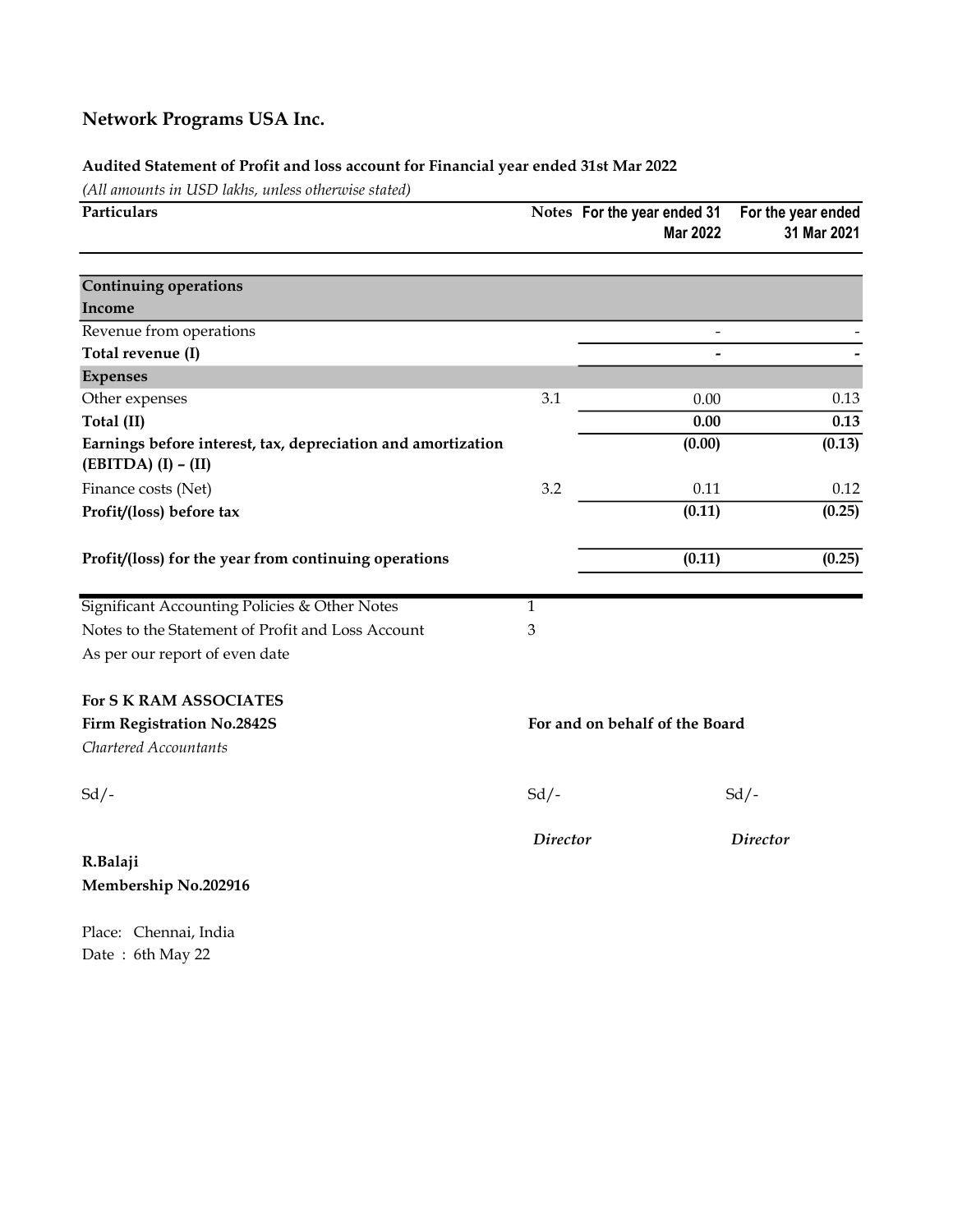## Audited Statement of Profit and loss account for Financial year ended 31st Mar 2022

(All amounts in USD lakhs, unless otherwise stated)

| Particulars                                                                           |                 | Notes For the year ended 31<br><b>Mar 2022</b> | For the year ended<br>31 Mar 2021 |  |
|---------------------------------------------------------------------------------------|-----------------|------------------------------------------------|-----------------------------------|--|
| <b>Continuing operations</b>                                                          |                 |                                                |                                   |  |
| Income                                                                                |                 |                                                |                                   |  |
| Revenue from operations                                                               |                 | $\overline{\phantom{a}}$                       |                                   |  |
| Total revenue (I)                                                                     |                 | $\overline{a}$                                 |                                   |  |
| <b>Expenses</b>                                                                       |                 |                                                |                                   |  |
| Other expenses                                                                        | 3.1             | 0.00                                           | 0.13                              |  |
| Total (II)                                                                            |                 | 0.00                                           | 0.13                              |  |
| Earnings before interest, tax, depreciation and amortization<br>$(EBITDA) (I) - (II)$ |                 | (0.00)                                         | (0.13)                            |  |
| Finance costs (Net)                                                                   | 3.2             | 0.11                                           | 0.12                              |  |
| Profit/(loss) before tax                                                              |                 | (0.11)                                         | (0.25)                            |  |
| Profit/(loss) for the year from continuing operations                                 |                 | (0.11)                                         | (0.25)                            |  |
| Significant Accounting Policies & Other Notes                                         | $\mathbf{1}$    |                                                |                                   |  |
| Notes to the Statement of Profit and Loss Account                                     | 3               |                                                |                                   |  |
| As per our report of even date                                                        |                 |                                                |                                   |  |
| For S K RAM ASSOCIATES                                                                |                 |                                                |                                   |  |
| <b>Firm Registration No.2842S</b>                                                     |                 | For and on behalf of the Board                 |                                   |  |
| Chartered Accountants                                                                 |                 |                                                |                                   |  |
| $Sd$ /-                                                                               | $Sd$ .          |                                                | $Sd$ /-                           |  |
| R.Balaji<br>Membership No.202916                                                      | <b>Director</b> |                                                | <b>Director</b>                   |  |
| Place: Chennai, India                                                                 |                 |                                                |                                   |  |

Date : 6th May 22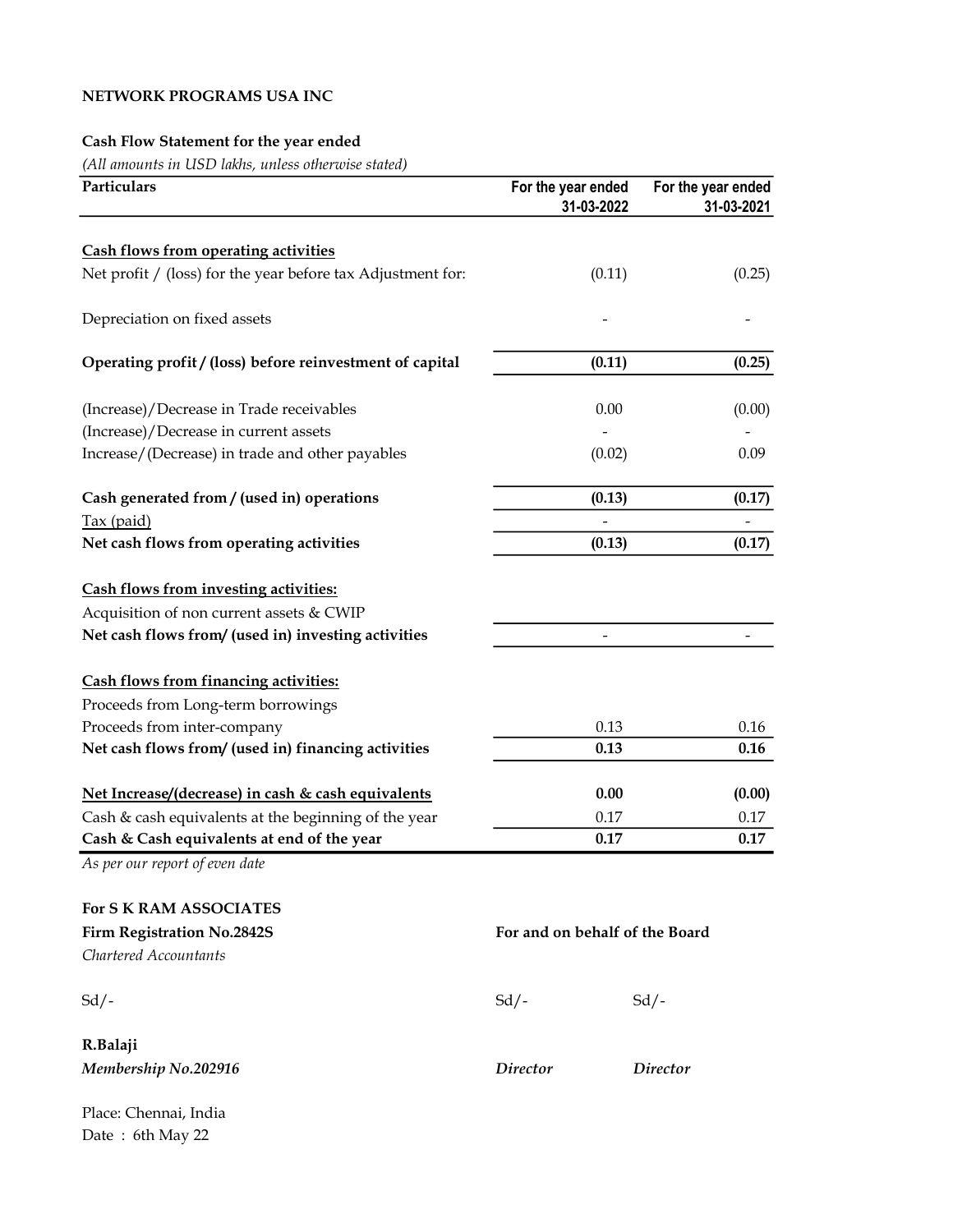## NETWORK PROGRAMS USA INC

## Cash Flow Statement for the year ended

(All amounts in USD lakhs, unless otherwise stated)

| Particulars                                                 | For the year ended             | 31-03-2022 | For the year ended<br>31-03-2021 |
|-------------------------------------------------------------|--------------------------------|------------|----------------------------------|
| <b>Cash flows from operating activities</b>                 |                                |            |                                  |
| Net profit / (loss) for the year before tax Adjustment for: |                                | (0.11)     | (0.25)                           |
| Depreciation on fixed assets                                |                                |            |                                  |
| Operating profit / (loss) before reinvestment of capital    |                                | (0.11)     | (0.25)                           |
| (Increase)/Decrease in Trade receivables                    |                                | 0.00       | (0.00)                           |
| (Increase)/Decrease in current assets                       |                                |            |                                  |
| Increase/(Decrease) in trade and other payables             |                                | (0.02)     | 0.09                             |
| Cash generated from / (used in) operations                  |                                | (0.13)     | (0.17)                           |
| Tax (paid)                                                  |                                |            |                                  |
| Net cash flows from operating activities                    |                                | (0.13)     | (0.17)                           |
| <b>Cash flows from investing activities:</b>                |                                |            |                                  |
| Acquisition of non current assets & CWIP                    |                                |            |                                  |
| Net cash flows from/ (used in) investing activities         |                                |            |                                  |
| <b>Cash flows from financing activities:</b>                |                                |            |                                  |
| Proceeds from Long-term borrowings                          |                                |            |                                  |
| Proceeds from inter-company                                 |                                | 0.13       | $0.16\,$                         |
| Net cash flows from/ (used in) financing activities         |                                | 0.13       | 0.16                             |
| Net Increase/(decrease) in cash & cash equivalents          | 0.00                           |            | (0.00)                           |
| Cash & cash equivalents at the beginning of the year        | 0.17                           |            | 0.17                             |
| Cash & Cash equivalents at end of the year                  | 0.17                           |            | 0.17                             |
| As per our report of even date                              |                                |            |                                  |
| <b>For S K RAM ASSOCIATES</b>                               |                                |            |                                  |
| <b>Firm Registration No.2842S</b>                           | For and on behalf of the Board |            |                                  |
| Chartered Accountants                                       |                                |            |                                  |
| $Sd$ /-                                                     | $Sd$ /-                        |            | $Sd$ /-                          |
| R.Balaji                                                    |                                |            |                                  |
| Membership No.202916                                        | <b>Director</b>                |            | <i>Director</i>                  |
| Place: Chennai, India                                       |                                |            |                                  |

Date : 6th May 22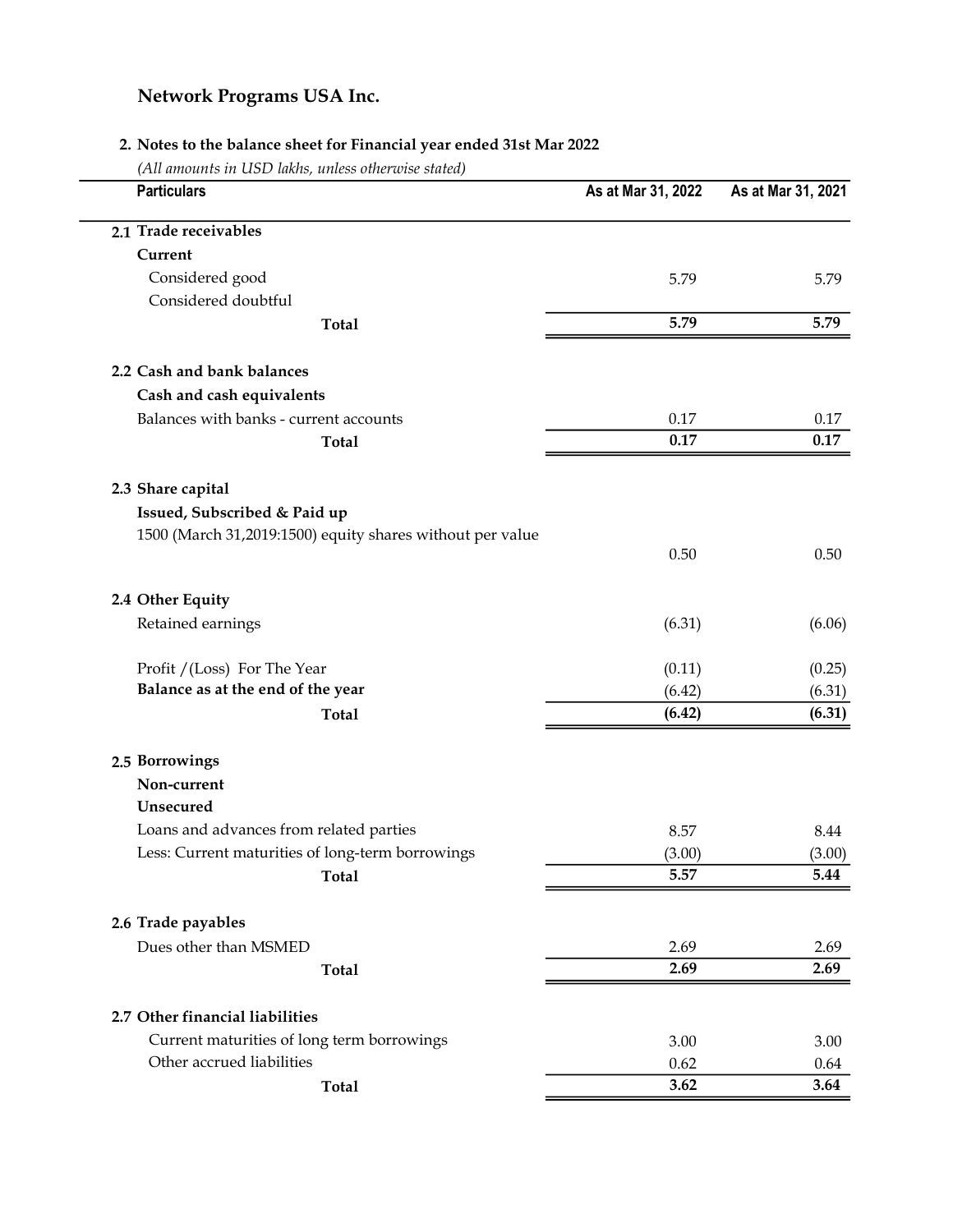## 2. Notes to the balance sheet for Financial year ended 31st Mar 2022

(All amounts in USD lakhs, unless otherwise stated)

| <b>Particulars</b>                                        | As at Mar 31, 2022 | As at Mar 31, 2021 |
|-----------------------------------------------------------|--------------------|--------------------|
| 2.1 Trade receivables                                     |                    |                    |
| Current                                                   |                    |                    |
| Considered good                                           | 5.79               | 5.79               |
| Considered doubtful                                       |                    |                    |
| <b>Total</b>                                              | 5.79               | 5.79               |
| 2.2 Cash and bank balances                                |                    |                    |
| Cash and cash equivalents                                 |                    |                    |
| Balances with banks - current accounts                    | 0.17               | 0.17               |
| <b>Total</b>                                              | 0.17               | 0.17               |
| 2.3 Share capital                                         |                    |                    |
| Issued, Subscribed & Paid up                              |                    |                    |
| 1500 (March 31,2019:1500) equity shares without per value |                    |                    |
|                                                           | 0.50               | 0.50               |
| 2.4 Other Equity                                          |                    |                    |
| Retained earnings                                         | (6.31)             | (6.06)             |
| Profit / (Loss) For The Year                              | (0.11)             | (0.25)             |
| Balance as at the end of the year                         | (6.42)             | (6.31)             |
| <b>Total</b>                                              | (6.42)             | (6.31)             |
| 2.5 Borrowings                                            |                    |                    |
| Non-current                                               |                    |                    |
| Unsecured                                                 |                    |                    |
| Loans and advances from related parties                   | 8.57               | 8.44               |
| Less: Current maturities of long-term borrowings          | (3.00)             | (3.00)             |
| <b>Total</b>                                              | 5.57               | 5.44               |
| 2.6 Trade payables                                        |                    |                    |
| Dues other than MSMED                                     | 2.69               | 2.69               |
| <b>Total</b>                                              | 2.69               | 2.69               |
| 2.7 Other financial liabilities                           |                    |                    |
| Current maturities of long term borrowings                | 3.00               | 3.00               |
| Other accrued liabilities                                 | 0.62               | 0.64               |
| <b>Total</b>                                              | 3.62               | 3.64               |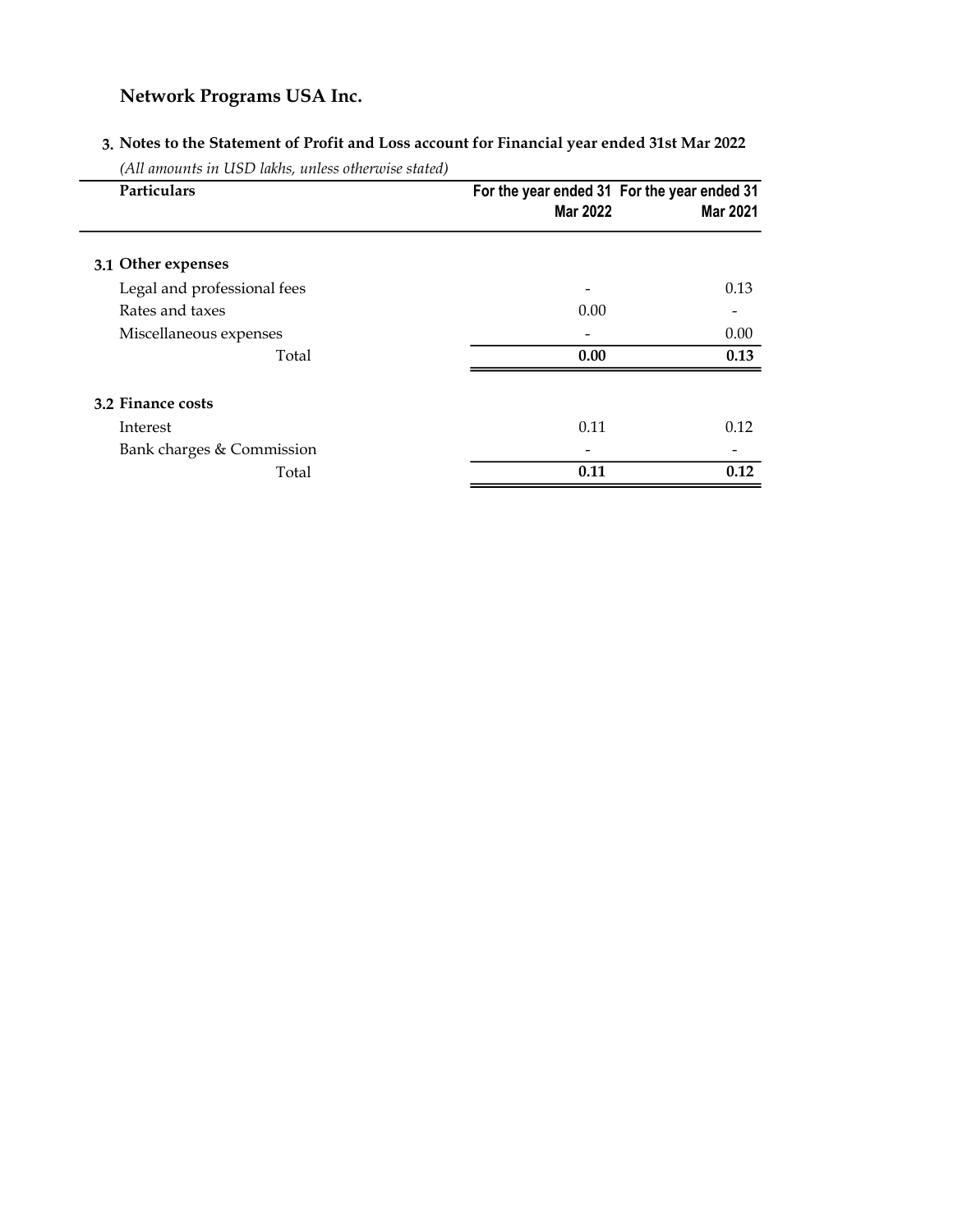## 3. Notes to the Statement of Profit and Loss account for Financial year ended 31st Mar 2022

(All amounts in USD lakhs, unless otherwise stated)

| Particulars                 | For the year ended 31 For the year ended 31<br><b>Mar 2022</b> | <b>Mar 2021</b> |
|-----------------------------|----------------------------------------------------------------|-----------------|
| 3.1 Other expenses          |                                                                |                 |
| Legal and professional fees |                                                                | 0.13            |
| Rates and taxes             | 0.00                                                           |                 |
| Miscellaneous expenses      |                                                                | 0.00            |
| Total                       | 0.00                                                           | 0.13            |
| 3.2 Finance costs           |                                                                |                 |
| Interest                    | 0.11                                                           | 0.12            |
| Bank charges & Commission   |                                                                |                 |
| Total                       | 0.11                                                           | 0.12            |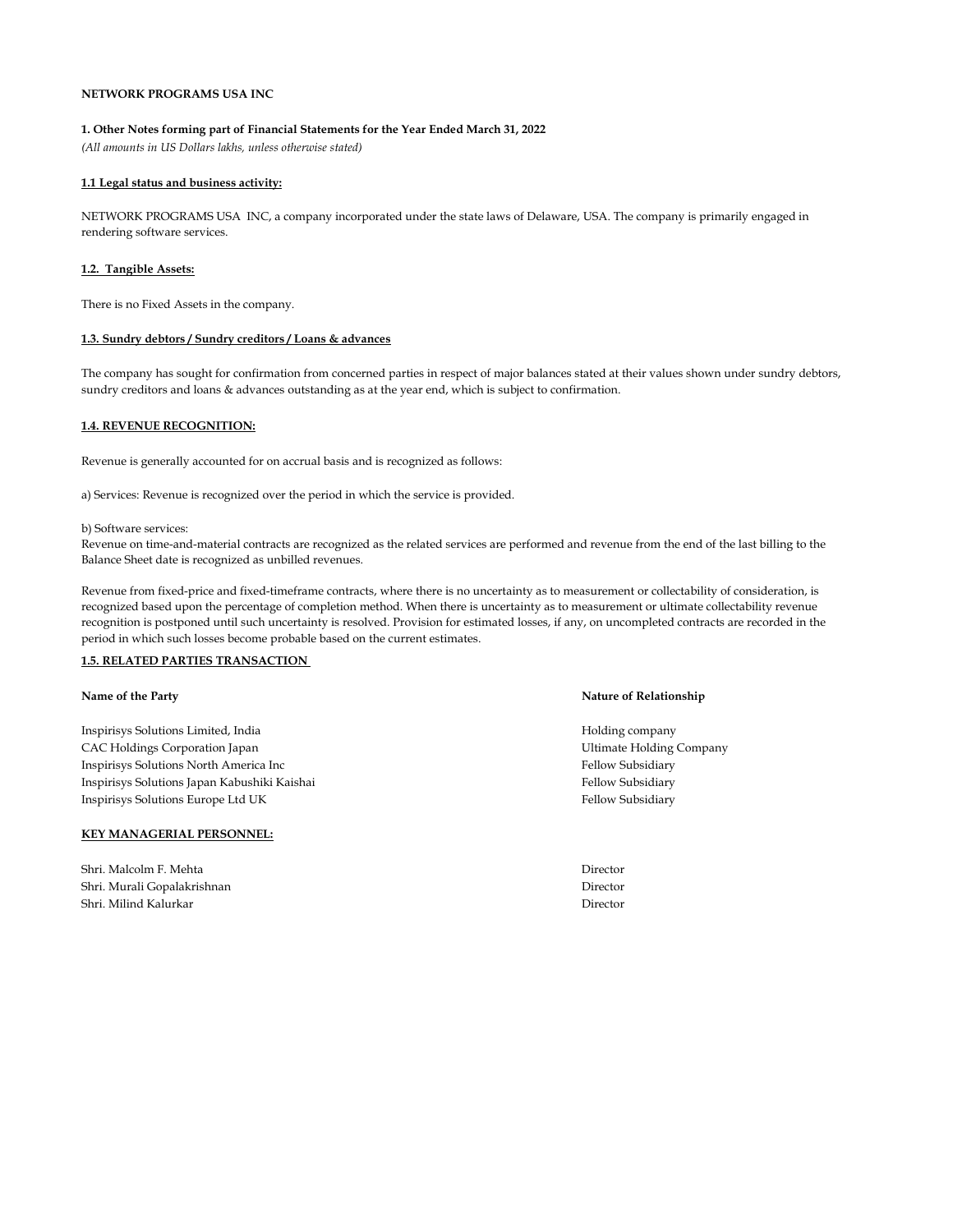#### NETWORK PROGRAMS USA INC

#### 1. Other Notes forming part of Financial Statements for the Year Ended March 31, 2022

(All amounts in US Dollars lakhs, unless otherwise stated)

#### 1.1 Legal status and business activity:

NETWORK PROGRAMS USA INC, a company incorporated under the state laws of Delaware, USA. The company is primarily engaged in rendering software services.

#### 1.2. Tangible Assets:

There is no Fixed Assets in the company.

#### 1.3. Sundry debtors / Sundry creditors / Loans & advances

The company has sought for confirmation from concerned parties in respect of major balances stated at their values shown under sundry debtors, sundry creditors and loans & advances outstanding as at the year end, which is subject to confirmation.

#### 1.4. REVENUE RECOGNITION:

Revenue is generally accounted for on accrual basis and is recognized as follows:

a) Services: Revenue is recognized over the period in which the service is provided.

#### b) Software services:

Revenue on time-and-material contracts are recognized as the related services are performed and revenue from the end of the last billing to the Balance Sheet date is recognized as unbilled revenues.

Revenue from fixed-price and fixed-timeframe contracts, where there is no uncertainty as to measurement or collectability of consideration, is recognized based upon the percentage of completion method. When there is uncertainty as to measurement or ultimate collectability revenue recognition is postponed until such uncertainty is resolved. Provision for estimated losses, if any, on uncompleted contracts are recorded in the period in which such losses become probable based on the current estimates.

#### 1.5. RELATED PARTIES TRANSACTION

Inspirisys Solutions Limited, India Holding company CAC Holdings Corporation Japan Ultimate Holding Company Inspirisys Solutions North America Inc Fellow Subsidiary Fellow Subsidiary Inspirisys Solutions Japan Kabushiki Kaishai **Fellow Subsidiary** Fellow Subsidiary Inspirisys Solutions Europe Ltd UK Fellow Subsidiary Fellow Subsidiary

#### KEY MANAGERIAL PERSONNEL:

Shri. Malcolm F. Mehta Director Shri. Murali Gopalakrishnan Director Shri. Milind Kalurkar Director

#### Name of the Party **Name of the Party Actual**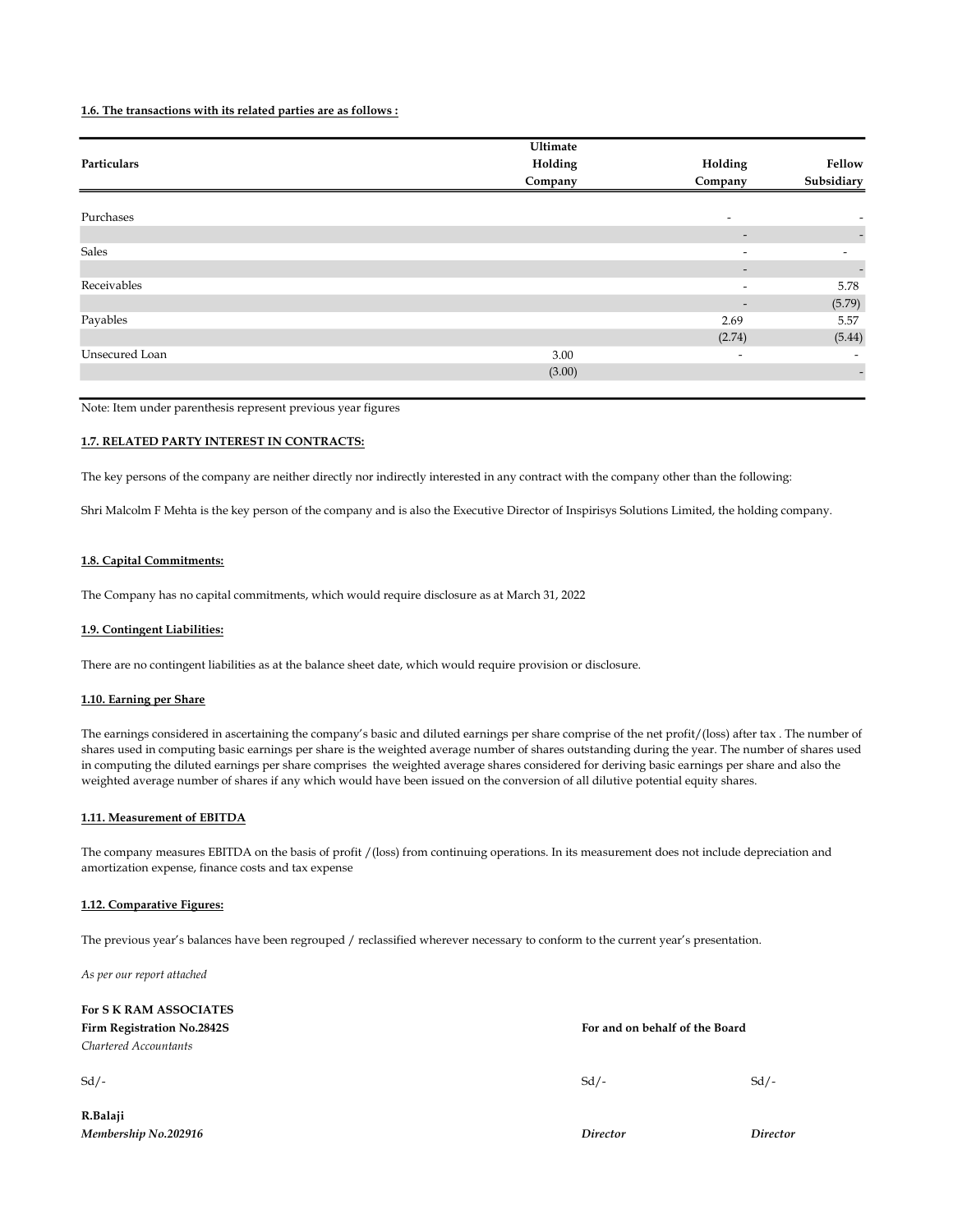#### 1.6. The transactions with its related parties are as follows :

|                | Ultimate |                          |                          |
|----------------|----------|--------------------------|--------------------------|
| Particulars    | Holding  | Holding                  | Fellow                   |
|                | Company  | Company                  | Subsidiary               |
|                |          |                          |                          |
| Purchases      |          | $\overline{\phantom{a}}$ |                          |
|                |          | $\overline{\phantom{a}}$ | $\overline{\phantom{a}}$ |
| Sales          |          | $\overline{\phantom{a}}$ | $\overline{\phantom{a}}$ |
|                |          | $\overline{\phantom{a}}$ |                          |
| Receivables    |          | $\overline{\phantom{a}}$ | 5.78                     |
|                |          | $\overline{\phantom{a}}$ | (5.79)                   |
| Payables       |          | 2.69                     | 5.57                     |
|                |          | (2.74)                   | (5.44)                   |
| Unsecured Loan | 3.00     | $\overline{\phantom{a}}$ |                          |
|                | (3.00)   |                          | $\overline{\phantom{a}}$ |
|                |          |                          |                          |

Note: Item under parenthesis represent previous year figures

#### 1.7. RELATED PARTY INTEREST IN CONTRACTS:

The key persons of the company are neither directly nor indirectly interested in any contract with the company other than the following:

Shri Malcolm F Mehta is the key person of the company and is also the Executive Director of Inspirisys Solutions Limited, the holding company.

#### 1.8. Capital Commitments:

The Company has no capital commitments, which would require disclosure as at March 31, 2022

#### 1.9. Contingent Liabilities:

There are no contingent liabilities as at the balance sheet date, which would require provision or disclosure.

#### 1.10. Earning per Share

The earnings considered in ascertaining the company's basic and diluted earnings per share comprise of the net profit/(loss) after tax . The number of shares used in computing basic earnings per share is the weighted average number of shares outstanding during the year. The number of shares used in computing the diluted earnings per share comprises the weighted average shares considered for deriving basic earnings per share and also the weighted average number of shares if any which would have been issued on the conversion of all dilutive potential equity shares.

#### 1.11. Measurement of EBITDA

The company measures EBITDA on the basis of profit /(loss) from continuing operations. In its measurement does not include depreciation and amortization expense, finance costs and tax expense

#### 1.12. Comparative Figures:

The previous year's balances have been regrouped / reclassified wherever necessary to conform to the current year's presentation.

As per our report attached

For S K RAM ASSOCIATES Firm Registration No.2842S For and on behalf of the Board

## Chartered Accountants

R.Balaji Membership No.202916 Director Director

 $Sd/ Sd/ Sd/-$